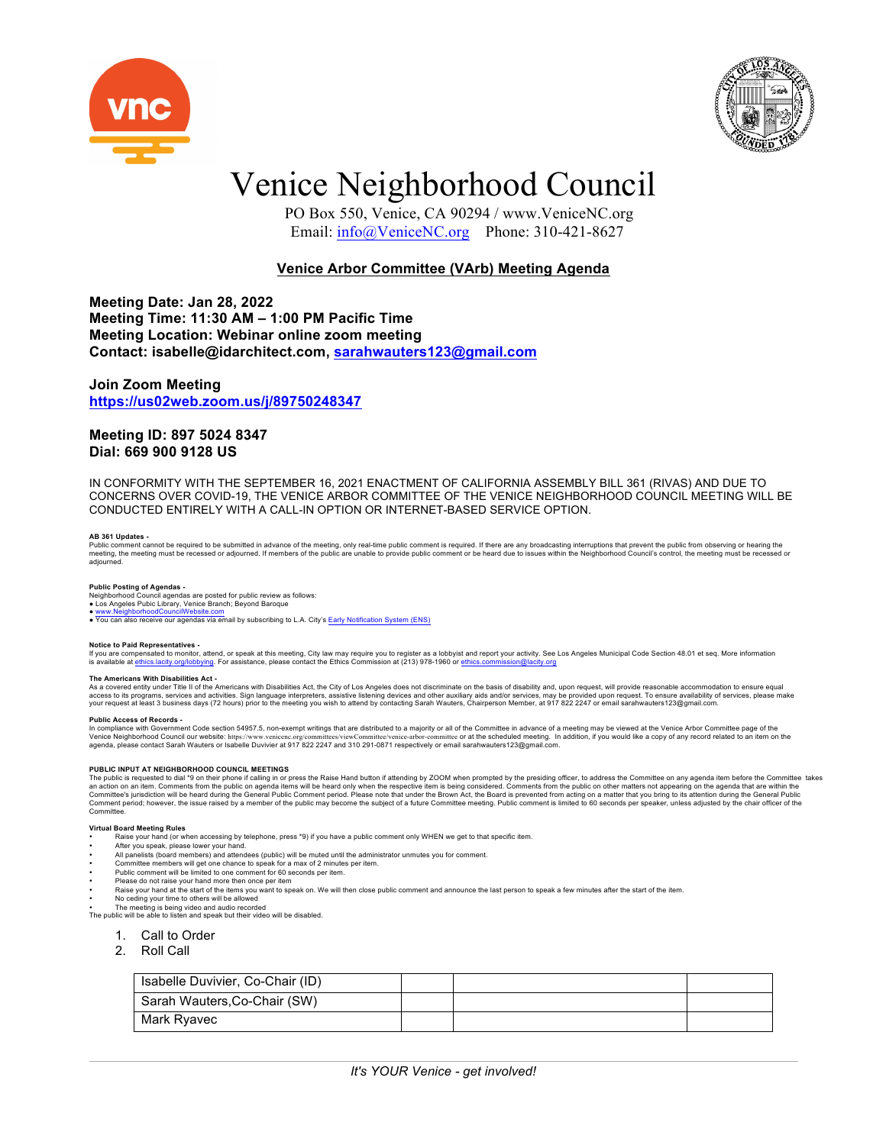



## Venice Neighborhood Council

 PO Box 550, Venice, CA 90294 / www.VeniceNC.org Email: info@VeniceNC.org Phone: 310-421-8627

## **Venice Arbor Committee (VArb) Meeting Agenda**

**Meeting Date: Jan 28, 2022 Meeting Time: 11:30 AM – 1:00 PM Pacific Time Meeting Location: Webinar online zoom meeting Contact: isabelle@idarchitect.com, sarahwauters123@gmail.com**

## **Join Zoom Meeting https://us02web.zoom.us/j/89750248347**

## **Meeting ID: 897 5024 8347 Dial: 669 900 9128 US**

IN CONFORMITY WITH THE SEPTEMBER 16, 2021 ENACTMENT OF CALIFORNIA ASSEMBLY BILL 361 (RIVAS) AND DUE TO CONCERNS OVER COVID-19, THE VENICE ARBOR COMMITTEE OF THE VENICE NEIGHBORHOOD COUNCIL MEETING WILL BE CONDUCTED ENTIRELY WITH A CALL-IN OPTION OR INTERNET-BASED SERVICE OPTION.

## **AB 361 Updates -**

Public comment cannot be required to be submitted in advance of the meeting, only real-time public comment is required. If there are any broadcasting interruptions that prevent the public form observing or heard of the pub adjourned.

**Public Posting of Agendas -**<br>Neighborhood Council agendas are posted for public review as follows:<br>● Los Angeles Pubic Library, Venice Branch; Beyond Baroque

● www.NeighborhoodCouncilWebsite.com<br>● You can also receive our agendas via email by subscribing to L.A. City's Early Notification System (ENS)

## **Notice to Paid Representatives -**

If you are compensated to monitor, attend, or speak at this meeting, City law may require you to register as a lobbyist and report your activity. See Los Angeles Municipal Code Section 48.01 et seq. More information<br>Is ava is available at ethics.lacity.org/lobbying. For assistance, please contact the Ethics Commission at (213) 978-1960 or ethics.co

## **The Americans With Disabilities Act -**

As a covered entity under Title II of the Americans with Disabilities Act, the City of Los Angeles does not discriminate on the basis of disability and, upon request, will provide reasonable accommodation to ensure equally access to its programs, services and activities. Sign language interpreters, assistive listening devices and other auxiliary aids and/or services, may be provided upon request. To ensure availability of services, please ma

Public Access of Records -<br>In compliance with Government Code section 54957.5, non-exempt writings that are distributed to a majority or all of the Committee in advance of a meeting may be viewed at the Venice Arbor Commit

PUBLIC INPUT AT NEIGHBORHOOD COUNCIL MEETINGS<br>The public is requested to dial \*9 on their phone if calling in or press the Raise Hand button if attending by ZOOM when prompted by the presiding officer, to address the Commi Comment period; however, the issue raised by a member of the public may become the subject of a future Committee meeting. Public comment is limited to 60 seconds per speaker, unless adjusted by the chair officer of the Committee.

## **Virtual Board Meeting Rules**

- Raise your hand (or when accessing by telephone, press \*9) if you have a public comment only WHEN we get to that specific item.
- After you speak, please lower your hand.
- All panelists (board members) and attendees (public) will be muted until the administrator unmutes you for comment. • Committee members will get one chance to speak for a max of 2 minutes per item.
- Public comment will be limited to one comment for 60 seconds per item.
- 
- Please do not raise your hand more then once per item<br>• Raise your hand at the start of the items you want to speak on. We will then close public comment and announce the last person to speak a few minutes after the star
- No ceding your time to others will be allowed

• The meeting is being video and audio recorded The public will be able to listen and speak but their video will be disabled.

- 1. Call to Order
- 2. Roll Call
- 

| Isabelle Duvivier, Co-Chair (ID) |  |  |
|----------------------------------|--|--|
| Sarah Wauters, Co-Chair (SW)     |  |  |
| Mark Ryavec                      |  |  |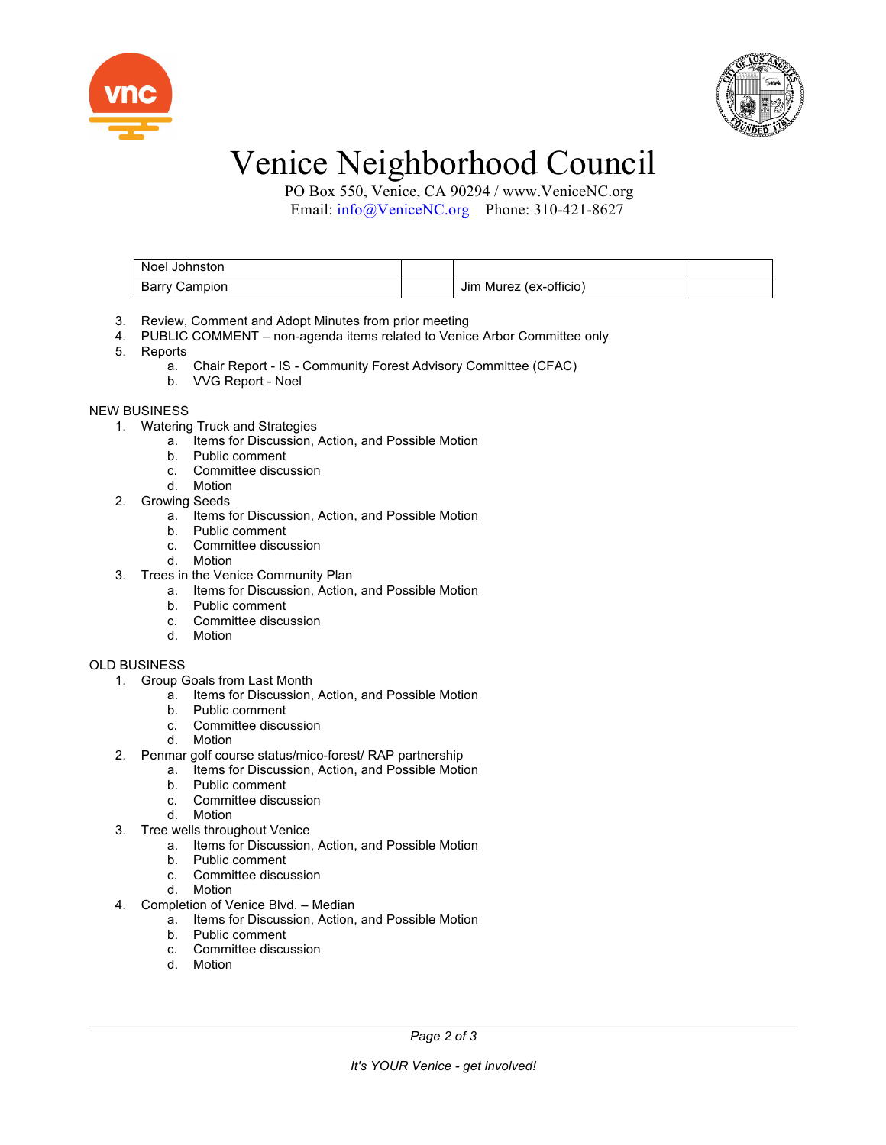



# Venice Neighborhood Council

 PO Box 550, Venice, CA 90294 / www.VeniceNC.org Email: info@VeniceNC.org Phone: 310-421-8627

| Noel Johnston        |                        |  |
|----------------------|------------------------|--|
| <b>Barry Campion</b> | Jim Murez (ex-officio) |  |

- 3. Review, Comment and Adopt Minutes from prior meeting
- 4. PUBLIC COMMENT non-agenda items related to Venice Arbor Committee only
- 5. Reports
	- a. Chair Report IS Community Forest Advisory Committee (CFAC)
	- b. VVG Report Noel

## NEW BUSINESS

- 1. Watering Truck and Strategies
	- a. Items for Discussion, Action, and Possible Motion
		- b. Public comment
		- c. Committee discussion
		- d. Motion
- 2. Growing Seeds
	- a. Items for Discussion, Action, and Possible Motion
	- b. Public comment
	- c. Committee discussion
	- d. Motion
- 3. Trees in the Venice Community Plan
	- a. Items for Discussion, Action, and Possible Motion
		- b. Public comment
		- c. Committee discussion
- d. Motion

## OLD BUSINESS

- 1. Group Goals from Last Month
	- a. Items for Discussion, Action, and Possible Motion
	- b. Public comment
	- c. Committee discussion
	- d. Motion
- 2. Penmar golf course status/mico-forest/ RAP partnership
	- a. Items for Discussion, Action, and Possible Motion
	- Public comment
	- c. Committee discussion
	- d. Motion
- 3. Tree wells throughout Venice
	- a. Items for Discussion, Action, and Possible Motion
	- b. Public comment
	- c. Committee discussion
	- d. Motion
- 4. Completion of Venice Blvd. Median
	- a. Items for Discussion, Action, and Possible Motion
		- b. Public comment
		- c. Committee discussion
		- d. Motion